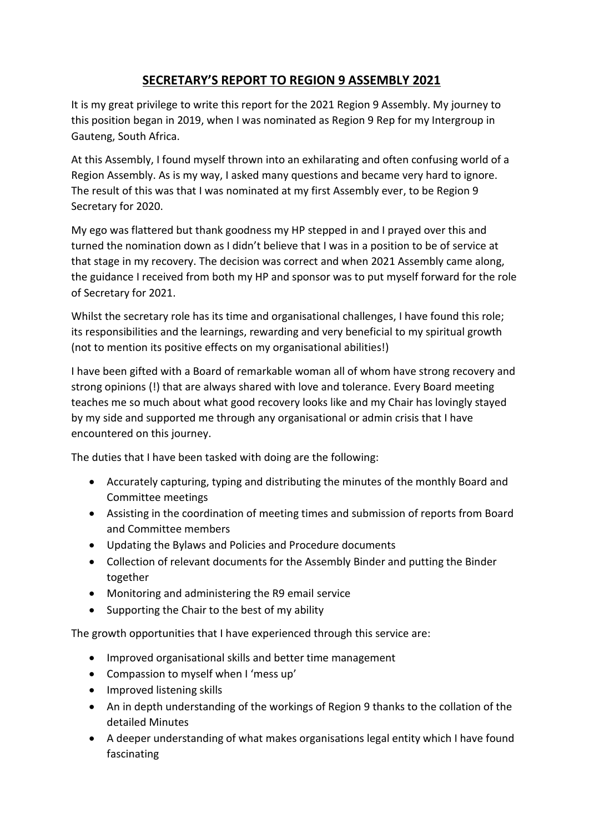## **SECRETARY'S REPORT TO REGION 9 ASSEMBLY 2021**

It is my great privilege to write this report for the 2021 Region 9 Assembly. My journey to this position began in 2019, when I was nominated as Region 9 Rep for my Intergroup in Gauteng, South Africa.

At this Assembly, I found myself thrown into an exhilarating and often confusing world of a Region Assembly. As is my way, I asked many questions and became very hard to ignore. The result of this was that I was nominated at my first Assembly ever, to be Region 9 Secretary for 2020.

My ego was flattered but thank goodness my HP stepped in and I prayed over this and turned the nomination down as I didn't believe that I was in a position to be of service at that stage in my recovery. The decision was correct and when 2021 Assembly came along, the guidance I received from both my HP and sponsor was to put myself forward for the role of Secretary for 2021.

Whilst the secretary role has its time and organisational challenges, I have found this role; its responsibilities and the learnings, rewarding and very beneficial to my spiritual growth (not to mention its positive effects on my organisational abilities!)

I have been gifted with a Board of remarkable woman all of whom have strong recovery and strong opinions (!) that are always shared with love and tolerance. Every Board meeting teaches me so much about what good recovery looks like and my Chair has lovingly stayed by my side and supported me through any organisational or admin crisis that I have encountered on this journey.

The duties that I have been tasked with doing are the following:

- Accurately capturing, typing and distributing the minutes of the monthly Board and Committee meetings
- Assisting in the coordination of meeting times and submission of reports from Board and Committee members
- Updating the Bylaws and Policies and Procedure documents
- Collection of relevant documents for the Assembly Binder and putting the Binder together
- Monitoring and administering the R9 email service
- Supporting the Chair to the best of my ability

The growth opportunities that I have experienced through this service are:

- Improved organisational skills and better time management
- Compassion to myself when I 'mess up'
- Improved listening skills
- An in depth understanding of the workings of Region 9 thanks to the collation of the detailed Minutes
- A deeper understanding of what makes organisations legal entity which I have found fascinating